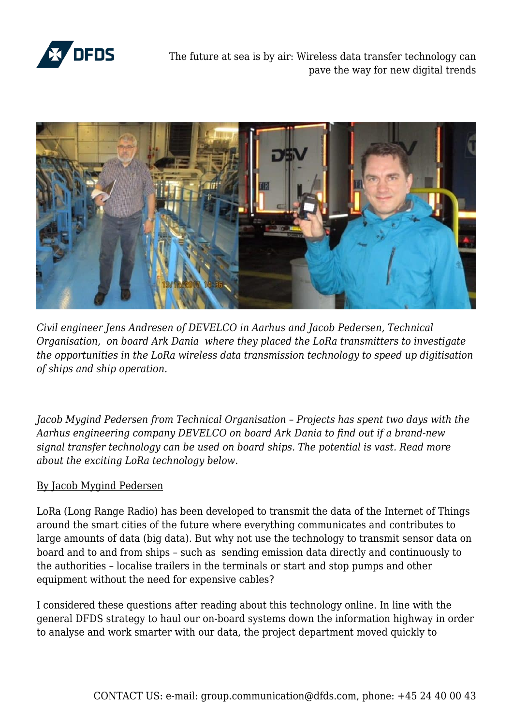

The future at sea is by air: Wireless data transfer technology can pave the way for new digital trends



*Civil engineer Jens Andresen of DEVELCO in Aarhus and Jacob Pedersen, Technical Organisation, on board Ark Dania where they placed the LoRa transmitters to investigate the opportunities in the LoRa wireless data transmission technology to speed up digitisation of ships and ship operation.*

*Jacob Mygind Pedersen from Technical Organisation – Projects has spent two days with the Aarhus engineering company DEVELCO on board Ark Dania to find out if a brand-new signal transfer technology can be used on board ships. The potential is vast. Read more about the exciting LoRa technology below.*

## By Jacob Mygind Pedersen

LoRa (Long Range Radio) has been developed to transmit the data of the Internet of Things around the smart cities of the future where everything communicates and contributes to large amounts of data (big data). But why not use the technology to transmit sensor data on board and to and from ships – such as sending emission data directly and continuously to the authorities – localise trailers in the terminals or start and stop pumps and other equipment without the need for expensive cables?

I considered these questions after reading about this technology online. In line with the general DFDS strategy to haul our on-board systems down the information highway in order to analyse and work smarter with our data, the project department moved quickly to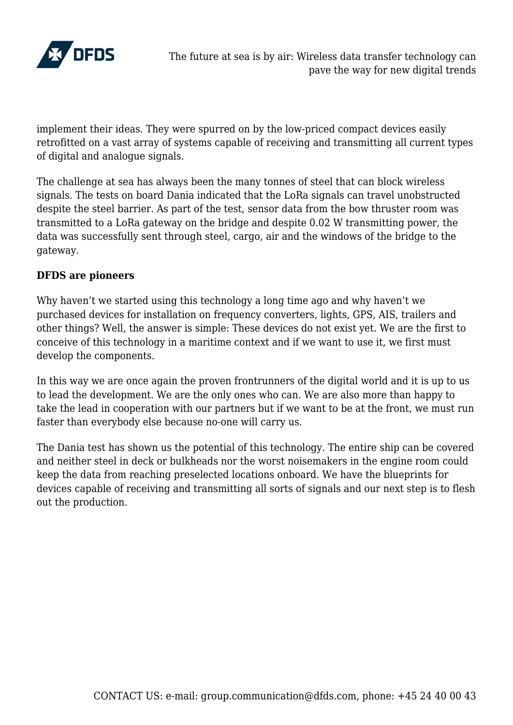

implement their ideas. They were spurred on by the low-priced compact devices easily retrofitted on a vast array of systems capable of receiving and transmitting all current types of digital and analogue signals.

The challenge at sea has always been the many tonnes of steel that can block wireless signals. The tests on board Dania indicated that the LoRa signals can travel unobstructed despite the steel barrier. As part of the test, sensor data from the bow thruster room was transmitted to a LoRa gateway on the bridge and despite 0.02 W transmitting power, the data was successfully sent through steel, cargo, air and the windows of the bridge to the gateway.

## **DFDS are pioneers**

Why haven't we started using this technology a long time ago and why haven't we purchased devices for installation on frequency converters, lights, GPS, AIS, trailers and other things? Well, the answer is simple: These devices do not exist yet. We are the first to conceive of this technology in a maritime context and if we want to use it, we first must develop the components.

In this way we are once again the proven frontrunners of the digital world and it is up to us to lead the development. We are the only ones who can. We are also more than happy to take the lead in cooperation with our partners but if we want to be at the front, we must run faster than everybody else because no-one will carry us.

The Dania test has shown us the potential of this technology. The entire ship can be covered and neither steel in deck or bulkheads nor the worst noisemakers in the engine room could keep the data from reaching preselected locations onboard. We have the blueprints for devices capable of receiving and transmitting all sorts of signals and our next step is to flesh out the production.